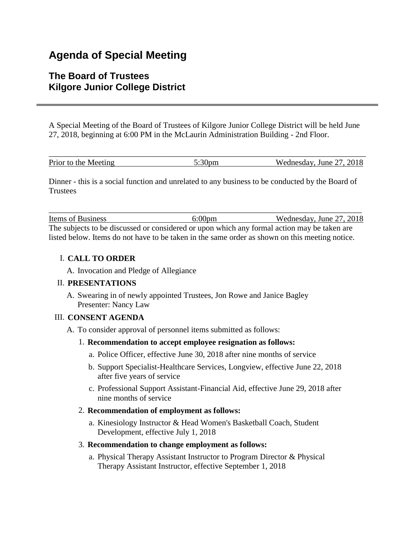# **Agenda of Special Meeting**

# **The Board of Trustees Kilgore Junior College District**

A Special Meeting of the Board of Trustees of Kilgore Junior College District will be held June 27, 2018, beginning at 6:00 PM in the McLaurin Administration Building - 2nd Floor.

| Prior to the Meeting | $\sim$ 00 | Wednesday, June 27, 2018 |
|----------------------|-----------|--------------------------|

Dinner - this is a social function and unrelated to any business to be conducted by the Board of **Trustees** 

Items of Business 6:00pm Wednesday, June 27, 2018 The subjects to be discussed or considered or upon which any formal action may be taken are listed below. Items do not have to be taken in the same order as shown on this meeting notice.

\_\_\_\_\_\_\_\_\_\_\_\_\_\_\_\_\_\_\_\_\_\_\_\_\_\_\_\_\_\_\_\_\_\_\_\_\_\_\_\_\_\_\_\_\_\_\_\_\_\_\_\_\_\_\_\_\_\_\_\_\_\_\_\_\_\_\_\_\_\_\_\_\_\_\_\_\_

# I. **CALL TO ORDER**

A. Invocation and Pledge of Allegiance

## II. **PRESENTATIONS**

A. Swearing in of newly appointed Trustees, Jon Rowe and Janice Bagley Presenter: Nancy Law

## III. **CONSENT AGENDA**

A. To consider approval of personnel items submitted as follows:

## 1. **Recommendation to accept employee resignation as follows:**

- a. Police Officer, effective June 30, 2018 after nine months of service
- b. Support Specialist-Healthcare Services, Longview, effective June 22, 2018 after five years of service
- c. Professional Support Assistant-Financial Aid, effective June 29, 2018 after nine months of service

## 2. **Recommendation of employment as follows:**

a. Kinesiology Instructor & Head Women's Basketball Coach, Student Development, effective July 1, 2018

#### 3. **Recommendation to change employment as follows:**

a. Physical Therapy Assistant Instructor to Program Director & Physical Therapy Assistant Instructor, effective September 1, 2018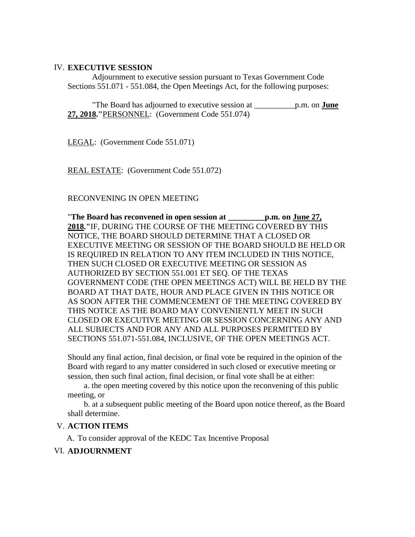## IV. **EXECUTIVE SESSION**

 Adjournment to executive session pursuant to Texas Government Code Sections 551.071 - 551.084, the Open Meetings Act, for the following purposes:

 "The Board has adjourned to executive session at \_\_\_\_\_\_\_\_\_\_p.m. on **June 27, 2018."**PERSONNEL: (Government Code 551.074)

LEGAL: (Government Code 551.071)

REAL ESTATE: (Government Code 551.072)

#### RECONVENING IN OPEN MEETING

"**The Board has reconvened in open session at \_\_\_\_\_\_\_\_\_p.m. on June 27, 2018."**IF, DURING THE COURSE OF THE MEETING COVERED BY THIS NOTICE, THE BOARD SHOULD DETERMINE THAT A CLOSED OR EXECUTIVE MEETING OR SESSION OF THE BOARD SHOULD BE HELD OR IS REQUIRED IN RELATION TO ANY ITEM INCLUDED IN THIS NOTICE, THEN SUCH CLOSED OR EXECUTIVE MEETING OR SESSION AS AUTHORIZED BY SECTION 551.001 ET SEQ. OF THE TEXAS GOVERNMENT CODE (THE OPEN MEETINGS ACT) WILL BE HELD BY THE BOARD AT THAT DATE, HOUR AND PLACE GIVEN IN THIS NOTICE OR AS SOON AFTER THE COMMENCEMENT OF THE MEETING COVERED BY THIS NOTICE AS THE BOARD MAY CONVENIENTLY MEET IN SUCH CLOSED OR EXECUTIVE MEETING OR SESSION CONCERNING ANY AND ALL SUBJECTS AND FOR ANY AND ALL PURPOSES PERMITTED BY SECTIONS 551.071-551.084, INCLUSIVE, OF THE OPEN MEETINGS ACT.

Should any final action, final decision, or final vote be required in the opinion of the Board with regard to any matter considered in such closed or executive meeting or session, then such final action, final decision, or final vote shall be at either:

 a. the open meeting covered by this notice upon the reconvening of this public meeting, or

 b. at a subsequent public meeting of the Board upon notice thereof, as the Board shall determine.

## V. **ACTION ITEMS**

A. To consider approval of the KEDC Tax Incentive Proposal

#### VI. **ADJOURNMENT**